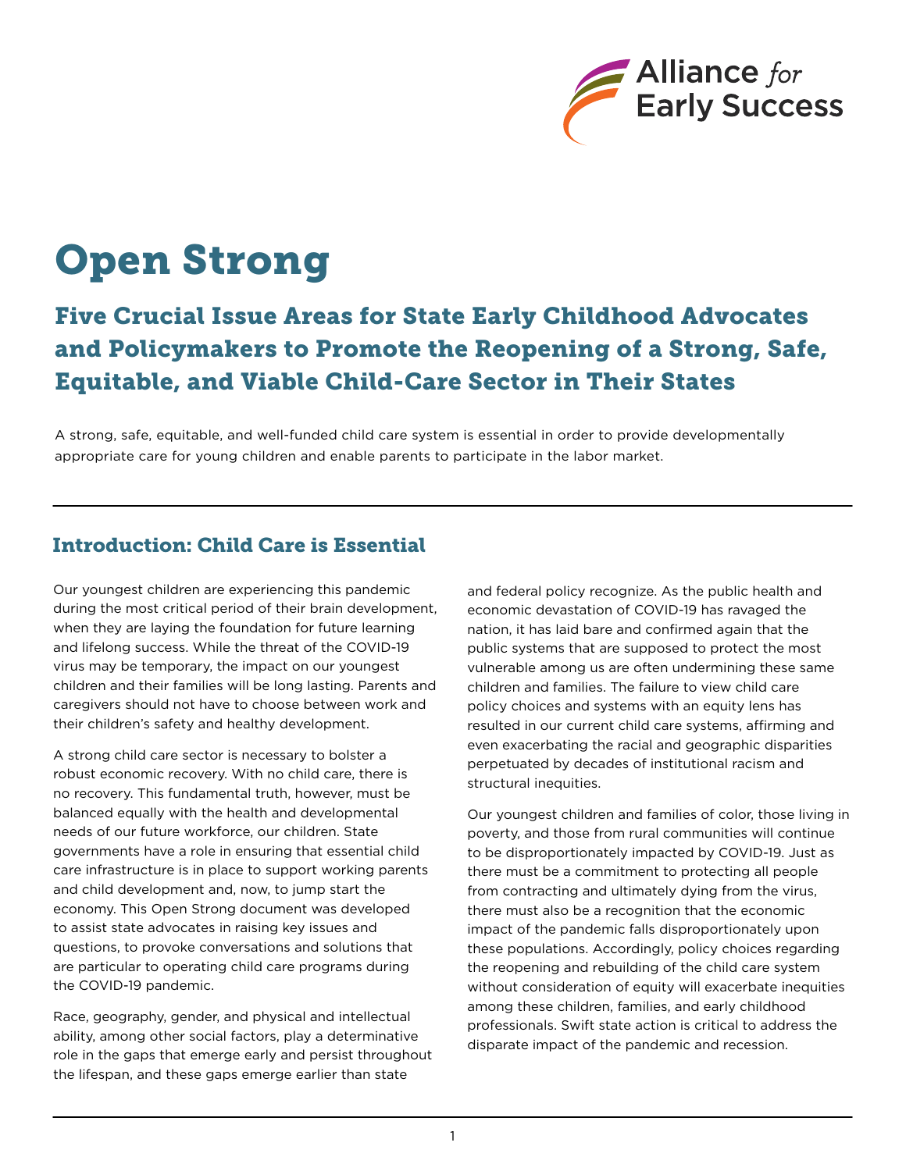

# Open Strong

## Five Crucial Issue Areas for State Early Childhood Advocates and Policymakers to Promote the Reopening of a Strong, Safe, Equitable, and Viable Child-Care Sector in Their States

A strong, safe, equitable, and well-funded child care system is essential in order to provide developmentally appropriate care for young children and enable parents to participate in the labor market.

### Introduction: Child Care is Essential

Our youngest children are experiencing this pandemic during the most critical period of their brain development, when they are laying the foundation for future learning and lifelong success. While the threat of the COVID-19 virus may be temporary, the impact on our youngest children and their families will be long lasting. Parents and caregivers should not have to choose between work and their children's safety and healthy development.

A strong child care sector is necessary to bolster a robust economic recovery. With no child care, there is no recovery. This fundamental truth, however, must be balanced equally with the health and developmental needs of our future workforce, our children. State governments have a role in ensuring that essential child care infrastructure is in place to support working parents and child development and, now, to jump start the economy. This Open Strong document was developed to assist state advocates in raising key issues and questions, to provoke conversations and solutions that are particular to operating child care programs during the COVID-19 pandemic.

Race, geography, gender, and physical and intellectual ability, among other social factors, play a determinative role in the gaps that emerge early and persist throughout the lifespan, and these gaps emerge earlier than state

and federal policy recognize. As the public health and economic devastation of COVID-19 has ravaged the nation, it has laid bare and confirmed again that the public systems that are supposed to protect the most vulnerable among us are often undermining these same children and families. The failure to view child care policy choices and systems with an equity lens has resulted in our current child care systems, affirming and even exacerbating the racial and geographic disparities perpetuated by decades of institutional racism and structural inequities.

Our youngest children and families of color, those living in poverty, and those from rural communities will continue to be disproportionately impacted by COVID-19. Just as there must be a commitment to protecting all people from contracting and ultimately dying from the virus, there must also be a recognition that the economic impact of the pandemic falls disproportionately upon these populations. Accordingly, policy choices regarding the reopening and rebuilding of the child care system without consideration of equity will exacerbate inequities among these children, families, and early childhood professionals. Swift state action is critical to address the disparate impact of the pandemic and recession.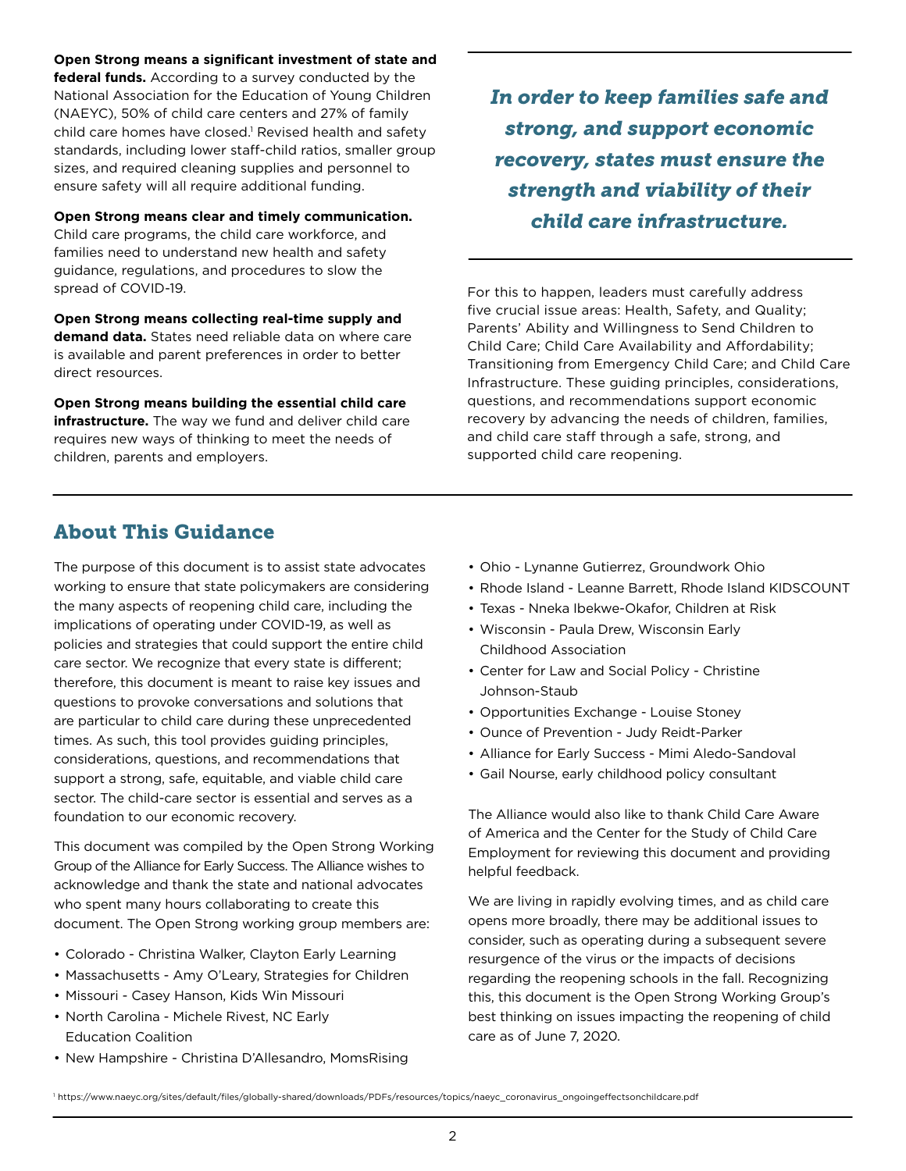**Open Strong means a significant investment of state and federal funds.** According to a survey conducted by the National Association for the Education of Young Children (NAEYC), 50% of child care centers and 27% of family child care homes have closed.<sup>1</sup> Revised health and safety standards, including lower staff-child ratios, smaller group sizes, and required cleaning supplies and personnel to ensure safety will all require additional funding.

**Open Strong means clear and timely communication.**

Child care programs, the child care workforce, and families need to understand new health and safety guidance, regulations, and procedures to slow the spread of COVID-19.

**Open Strong means collecting real-time supply and demand data.** States need reliable data on where care is available and parent preferences in order to better direct resources.

**Open Strong means building the essential child care infrastructure.** The way we fund and deliver child care requires new ways of thinking to meet the needs of children, parents and employers.

*In order to keep families safe and strong, and support economic recovery, states must ensure the strength and viability of their child care infrastructure.* 

For this to happen, leaders must carefully address five crucial issue areas: Health, Safety, and Quality; Parents' Ability and Willingness to Send Children to Child Care; Child Care Availability and Affordability; Transitioning from Emergency Child Care; and Child Care Infrastructure. These guiding principles, considerations, questions, and recommendations support economic recovery by advancing the needs of children, families, and child care staff through a safe, strong, and supported child care reopening.

## About This Guidance

The purpose of this document is to assist state advocates working to ensure that state policymakers are considering the many aspects of reopening child care, including the implications of operating under COVID-19, as well as policies and strategies that could support the entire child care sector. We recognize that every state is different; therefore, this document is meant to raise key issues and questions to provoke conversations and solutions that are particular to child care during these unprecedented times. As such, this tool provides guiding principles, considerations, questions, and recommendations that support a strong, safe, equitable, and viable child care sector. The child-care sector is essential and serves as a foundation to our economic recovery.

This document was compiled by the Open Strong Working Group of the Alliance for Early Success. The Alliance wishes to acknowledge and thank the state and national advocates who spent many hours collaborating to create this document. The Open Strong working group members are:

- Colorado Christina Walker, Clayton Early Learning
- Massachusetts Amy O'Leary, Strategies for Children
- Missouri Casey Hanson, Kids Win Missouri
- North Carolina Michele Rivest, NC Early Education Coalition
- New Hampshire Christina D'Allesandro, MomsRising
- Ohio Lynanne Gutierrez, Groundwork Ohio
- Rhode Island Leanne Barrett, Rhode Island KIDSCOUNT
- Texas Nneka Ibekwe-Okafor, Children at Risk
- Wisconsin Paula Drew, Wisconsin Early Childhood Association
- Center for Law and Social Policy Christine Johnson-Staub
- Opportunities Exchange Louise Stoney
- Ounce of Prevention Judy Reidt-Parker
- Alliance for Early Success Mimi Aledo-Sandoval
- Gail Nourse, early childhood policy consultant

The Alliance would also like to thank Child Care Aware of America and the Center for the Study of Child Care Employment for reviewing this document and providing helpful feedback.

We are living in rapidly evolving times, and as child care opens more broadly, there may be additional issues to consider, such as operating during a subsequent severe resurgence of the virus or the impacts of decisions regarding the reopening schools in the fall. Recognizing this, this document is the Open Strong Working Group's best thinking on issues impacting the reopening of child care as of June 7, 2020.

1 https://www.naeyc.org/sites/default/files/globally-shared/downloads/PDFs/resources/topics/naeyc\_coronavirus\_ongoingeffectsonchildcare.pdf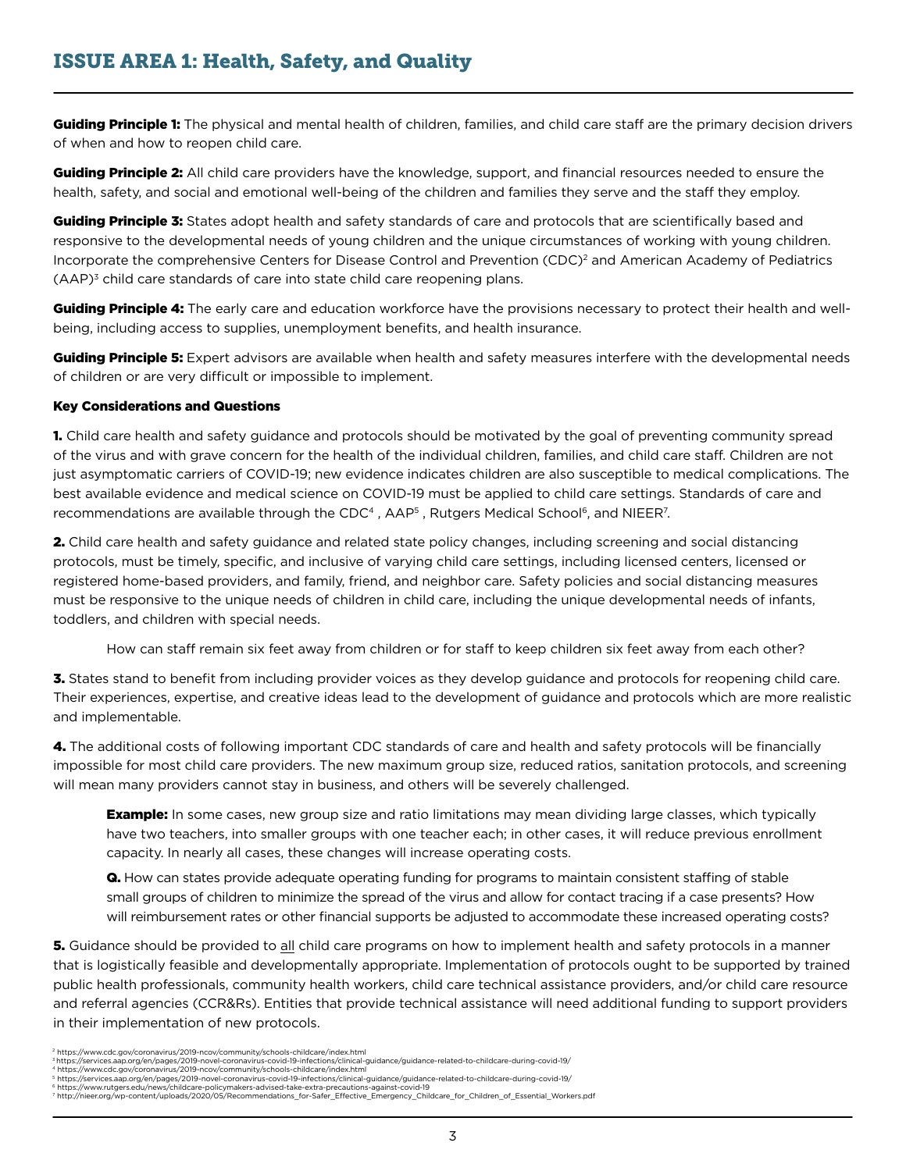Guiding Principle 1: The physical and mental health of children, families, and child care staff are the primary decision drivers of when and how to reopen child care.

Guiding Principle 2: All child care providers have the knowledge, support, and financial resources needed to ensure the health, safety, and social and emotional well-being of the children and families they serve and the staff they employ.

**Guiding Principle 3:** States adopt health and safety standards of care and protocols that are scientifically based and responsive to the developmental needs of young children and the unique circumstances of working with young children. Incorporate the comprehensive Centers for Disease Control and Prevention (CDC)2 and American Academy of Pediatrics  $(AAP)^3$  child care standards of care into state child care reopening plans.

Guiding Principle 4: The early care and education workforce have the provisions necessary to protect their health and wellbeing, including access to supplies, unemployment benefits, and health insurance.

Guiding Principle 5: Expert advisors are available when health and safety measures interfere with the developmental needs of children or are very difficult or impossible to implement.

#### Key Considerations and Questions

1. Child care health and safety guidance and protocols should be motivated by the goal of preventing community spread of the virus and with grave concern for the health of the individual children, families, and child care staff. Children are not just asymptomatic carriers of COVID-19; new evidence indicates children are also susceptible to medical complications. The best available evidence and medical science on COVID-19 must be applied to child care settings. Standards of care and recommendations are available through the CDC<sup>4</sup>,  $AAP<sup>5</sup>$ , Rutgers Medical School<sup>6</sup>, and NIEER<sup>7</sup>.

2. Child care health and safety guidance and related state policy changes, including screening and social distancing protocols, must be timely, specific, and inclusive of varying child care settings, including licensed centers, licensed or registered home-based providers, and family, friend, and neighbor care. Safety policies and social distancing measures must be responsive to the unique needs of children in child care, including the unique developmental needs of infants, toddlers, and children with special needs.

How can staff remain six feet away from children or for staff to keep children six feet away from each other?

3. States stand to benefit from including provider voices as they develop guidance and protocols for reopening child care. Their experiences, expertise, and creative ideas lead to the development of guidance and protocols which are more realistic and implementable.

4. The additional costs of following important CDC standards of care and health and safety protocols will be financially impossible for most child care providers. The new maximum group size, reduced ratios, sanitation protocols, and screening will mean many providers cannot stay in business, and others will be severely challenged.

**Example:** In some cases, new group size and ratio limitations may mean dividing large classes, which typically have two teachers, into smaller groups with one teacher each; in other cases, it will reduce previous enrollment capacity. In nearly all cases, these changes will increase operating costs.

Q. How can states provide adequate operating funding for programs to maintain consistent staffing of stable small groups of children to minimize the spread of the virus and allow for contact tracing if a case presents? How will reimbursement rates or other financial supports be adjusted to accommodate these increased operating costs?

**5.** Guidance should be provided to all child care programs on how to implement health and safety protocols in a manner that is logistically feasible and developmentally appropriate. Implementation of protocols ought to be supported by trained public health professionals, community health workers, child care technical assistance providers, and/or child care resource and referral agencies (CCR&Rs). Entities that provide technical assistance will need additional funding to support providers in their implementation of new protocols.

<sup>2</sup> https://www.cdc.gov/coronavirus/2019-ncov/community/schools-childcare/index.html

<sup>3</sup>https://services.aap.org/en/pages/2019-novel-coronavirus-covid-19-infections/clinical-guidance/guidance-related-to-childcare-during-covid-19/<br>4 https://www.cdc.gov/coronavirus/2019-ncov/community/schools-childcare/index.h

<sup>5</sup> https://services.aap.org/en/pages/2019-novel-coronavirus-covid-19-infections/clinical-guidance/guidance-related-to-childcare-during-covid-19/

<sup>6</sup> https://www.rutgers.edu/news/childcare-policymakers-advised-take-extra-precautions-against-covid-19

<sup>7</sup> http://nieer.org/wp-content/uploads/2020/05/Recommendations\_for-Safer\_Effective\_Emergency\_Childcare\_for\_Children\_of\_Essential\_Workers.pdf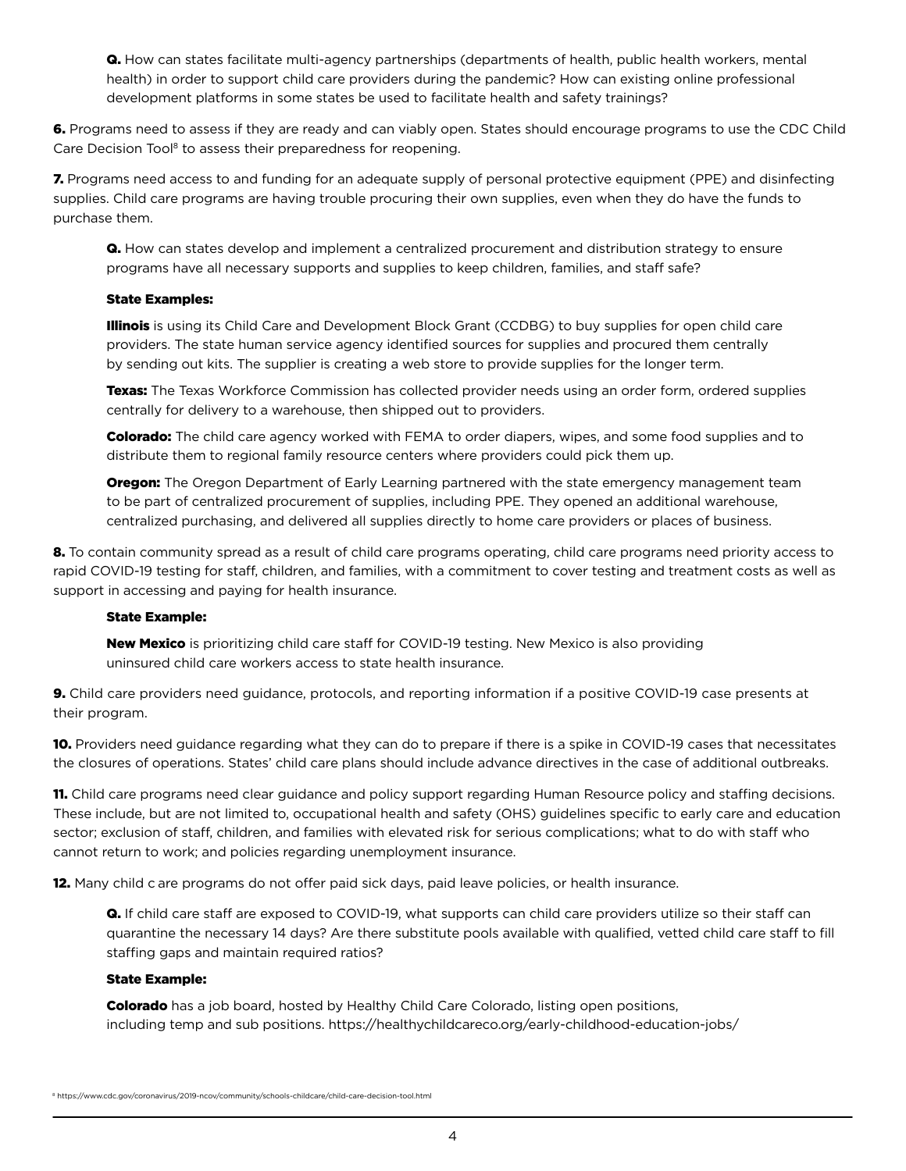Q. How can states facilitate multi-agency partnerships (departments of health, public health workers, mental health) in order to support child care providers during the pandemic? How can existing online professional development platforms in some states be used to facilitate health and safety trainings?

6. Programs need to assess if they are ready and can viably open. States should encourage programs to use the CDC Child Care Decision Tool<sup>8</sup> to assess their preparedness for reopening.

7. Programs need access to and funding for an adequate supply of personal protective equipment (PPE) and disinfecting supplies. Child care programs are having trouble procuring their own supplies, even when they do have the funds to purchase them.

Q. How can states develop and implement a centralized procurement and distribution strategy to ensure programs have all necessary supports and supplies to keep children, families, and staff safe?

#### State Examples:

Illinois is using its Child Care and Development Block Grant (CCDBG) to buy supplies for open child care providers. The state human service agency identified sources for supplies and procured them centrally by sending out kits. The supplier is creating a web store to provide supplies for the longer term.

Texas: The Texas Workforce Commission has collected provider needs using an order form, ordered supplies centrally for delivery to a warehouse, then shipped out to providers.

**Colorado:** The child care agency worked with FEMA to order diapers, wipes, and some food supplies and to distribute them to regional family resource centers where providers could pick them up.

**Oregon:** The Oregon Department of Early Learning partnered with the state emergency management team to be part of centralized procurement of supplies, including PPE. They opened an additional warehouse, centralized purchasing, and delivered all supplies directly to home care providers or places of business.

8. To contain community spread as a result of child care programs operating, child care programs need priority access to rapid COVID-19 testing for staff, children, and families, with a commitment to cover testing and treatment costs as well as support in accessing and paying for health insurance.

#### State Example:

New Mexico is prioritizing child care staff for COVID-19 testing. New Mexico is also providing uninsured child care workers access to state health insurance.

9. Child care providers need guidance, protocols, and reporting information if a positive COVID-19 case presents at their program.

10. Providers need guidance regarding what they can do to prepare if there is a spike in COVID-19 cases that necessitates the closures of operations. States' child care plans should include advance directives in the case of additional outbreaks.

**11.** Child care programs need clear guidance and policy support regarding Human Resource policy and staffing decisions. These include, but are not limited to, occupational health and safety (OHS) guidelines specific to early care and education sector; exclusion of staff, children, and families with elevated risk for serious complications; what to do with staff who cannot return to work; and policies regarding unemployment insurance.

12. Many child c are programs do not offer paid sick days, paid leave policies, or health insurance.

Q. If child care staff are exposed to COVID-19, what supports can child care providers utilize so their staff can quarantine the necessary 14 days? Are there substitute pools available with qualified, vetted child care staff to fill staffing gaps and maintain required ratios?

#### State Example:

**Colorado** has a job board, hosted by Healthy Child Care Colorado, listing open positions, including temp and sub positions. https://healthychildcareco.org/early-childhood-education-jobs/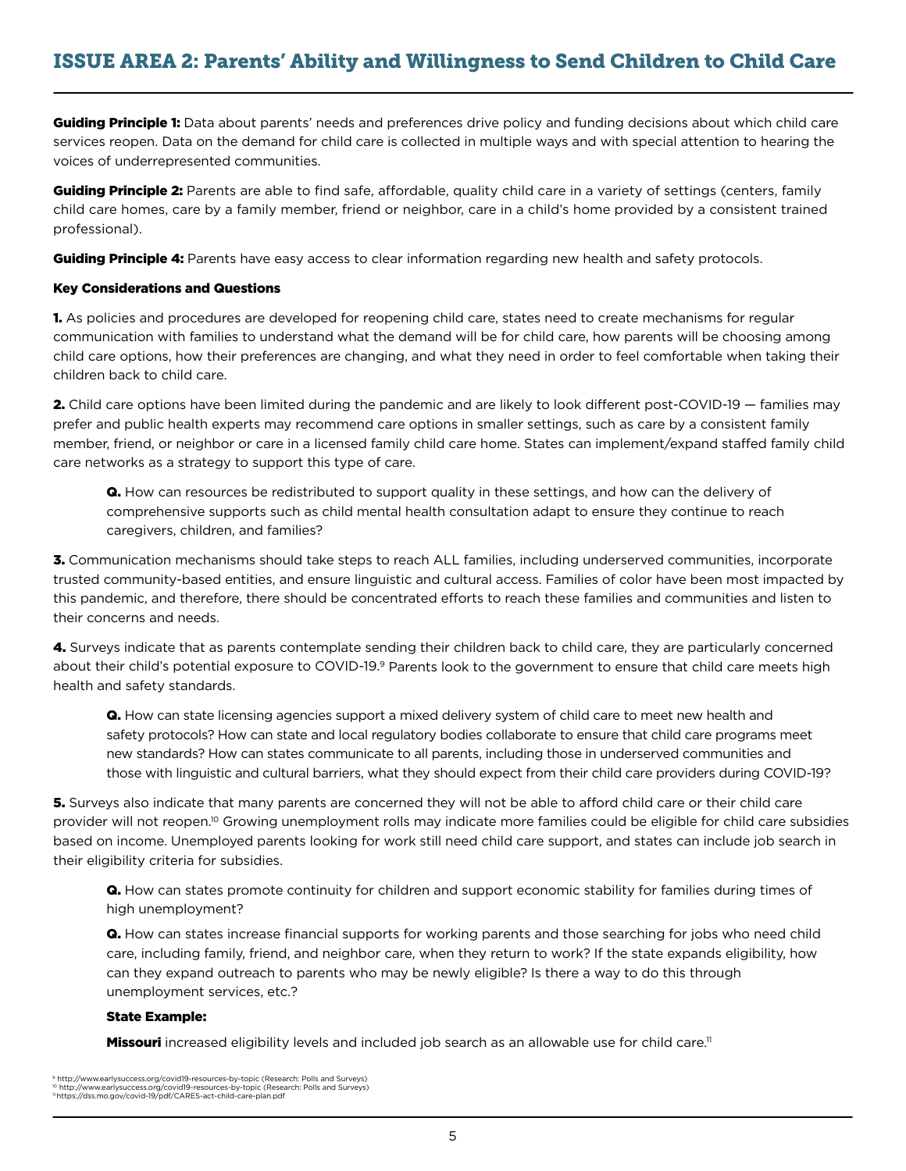Guiding Principle 1: Data about parents' needs and preferences drive policy and funding decisions about which child care services reopen. Data on the demand for child care is collected in multiple ways and with special attention to hearing the voices of underrepresented communities.

Guiding Principle 2: Parents are able to find safe, affordable, quality child care in a variety of settings (centers, family child care homes, care by a family member, friend or neighbor, care in a child's home provided by a consistent trained professional).

Guiding Principle 4: Parents have easy access to clear information regarding new health and safety protocols.

#### Key Considerations and Questions

1. As policies and procedures are developed for reopening child care, states need to create mechanisms for regular communication with families to understand what the demand will be for child care, how parents will be choosing among child care options, how their preferences are changing, and what they need in order to feel comfortable when taking their children back to child care.

2. Child care options have been limited during the pandemic and are likely to look different post-COVID-19 — families may prefer and public health experts may recommend care options in smaller settings, such as care by a consistent family member, friend, or neighbor or care in a licensed family child care home. States can implement/expand staffed family child care networks as a strategy to support this type of care.

Q. How can resources be redistributed to support quality in these settings, and how can the delivery of comprehensive supports such as child mental health consultation adapt to ensure they continue to reach caregivers, children, and families?

3. Communication mechanisms should take steps to reach ALL families, including underserved communities, incorporate trusted community-based entities, and ensure linguistic and cultural access. Families of color have been most impacted by this pandemic, and therefore, there should be concentrated efforts to reach these families and communities and listen to their concerns and needs.

4. Surveys indicate that as parents contemplate sending their children back to child care, they are particularly concerned about their child's potential exposure to COVID-19.<sup>9</sup> Parents look to the government to ensure that child care meets high health and safety standards.

**Q.** How can state licensing agencies support a mixed delivery system of child care to meet new health and safety protocols? How can state and local regulatory bodies collaborate to ensure that child care programs meet new standards? How can states communicate to all parents, including those in underserved communities and those with linguistic and cultural barriers, what they should expect from their child care providers during COVID-19?

5. Surveys also indicate that many parents are concerned they will not be able to afford child care or their child care provider will not reopen.<sup>10</sup> Growing unemployment rolls may indicate more families could be eligible for child care subsidies based on income. Unemployed parents looking for work still need child care support, and states can include job search in their eligibility criteria for subsidies.

Q. How can states promote continuity for children and support economic stability for families during times of high unemployment?

Q. How can states increase financial supports for working parents and those searching for jobs who need child care, including family, friend, and neighbor care, when they return to work? If the state expands eligibility, how can they expand outreach to parents who may be newly eligible? Is there a way to do this through unemployment services, etc.?

#### State Example:

Missouri increased eligibility levels and included job search as an allowable use for child care.<sup>11</sup>

<sup>。&</sup>lt;br>9 http://www.earlysuccess.org/covid19-resources-by-topic (Research: Polls and Surveys) 10 http://www.earlysuccess.org/covid19-resources-by-topic (Research: Polls and Surveys)<br>11 https://dss.mo.gov/covid-19/pdf/CARES-act-child-care-plan.pdf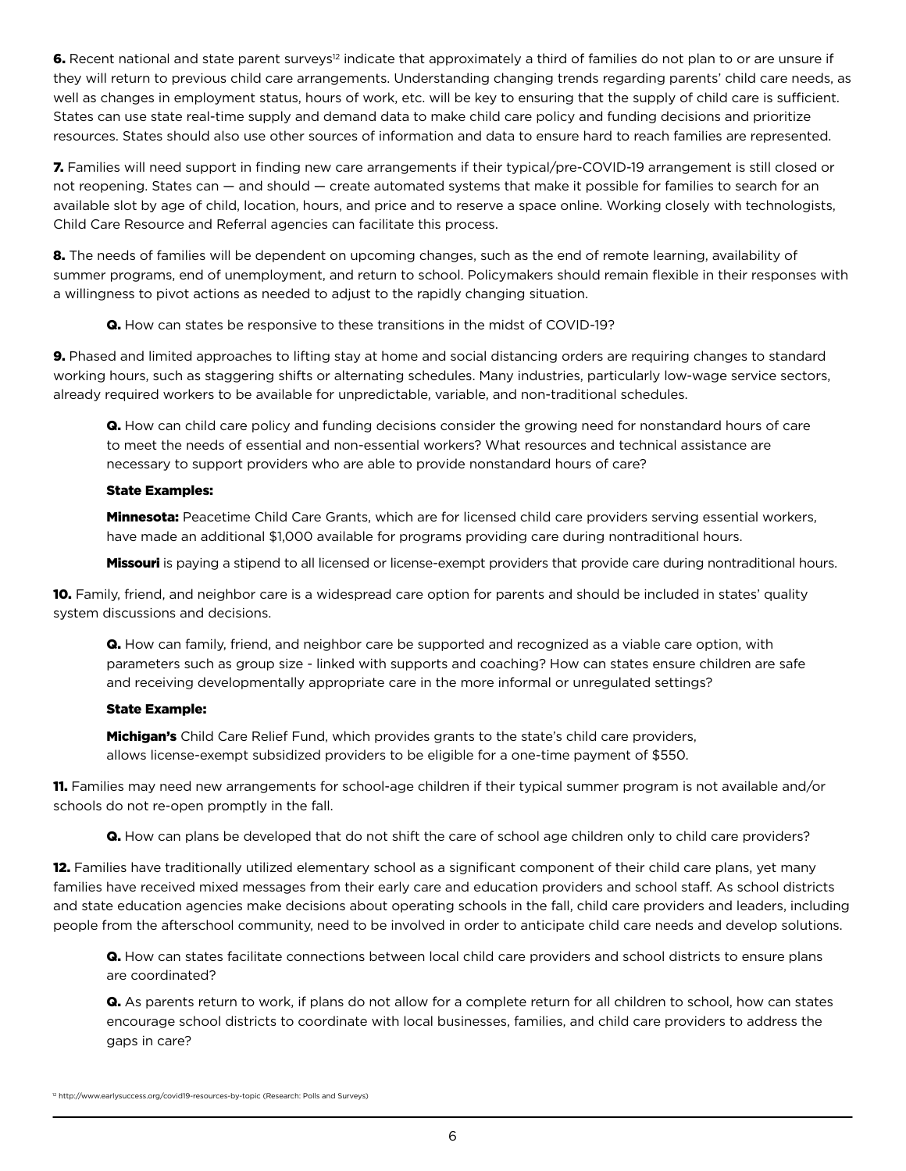6. Recent national and state parent surveys<sup>12</sup> indicate that approximately a third of families do not plan to or are unsure if they will return to previous child care arrangements. Understanding changing trends regarding parents' child care needs, as well as changes in employment status, hours of work, etc. will be key to ensuring that the supply of child care is sufficient. States can use state real-time supply and demand data to make child care policy and funding decisions and prioritize resources. States should also use other sources of information and data to ensure hard to reach families are represented.

7. Families will need support in finding new care arrangements if their typical/pre-COVID-19 arrangement is still closed or not reopening. States can — and should — create automated systems that make it possible for families to search for an available slot by age of child, location, hours, and price and to reserve a space online. Working closely with technologists, Child Care Resource and Referral agencies can facilitate this process.

8. The needs of families will be dependent on upcoming changes, such as the end of remote learning, availability of summer programs, end of unemployment, and return to school. Policymakers should remain flexible in their responses with a willingness to pivot actions as needed to adjust to the rapidly changing situation.

Q. How can states be responsive to these transitions in the midst of COVID-19?

9. Phased and limited approaches to lifting stay at home and social distancing orders are requiring changes to standard working hours, such as staggering shifts or alternating schedules. Many industries, particularly low-wage service sectors, already required workers to be available for unpredictable, variable, and non-traditional schedules.

**Q.** How can child care policy and funding decisions consider the growing need for nonstandard hours of care to meet the needs of essential and non-essential workers? What resources and technical assistance are necessary to support providers who are able to provide nonstandard hours of care?

#### State Examples:

**Minnesota:** Peacetime Child Care Grants, which are for licensed child care providers serving essential workers, have made an additional \$1,000 available for programs providing care during nontraditional hours.

Missouri is paying a stipend to all licensed or license-exempt providers that provide care during nontraditional hours.

10. Family, friend, and neighbor care is a widespread care option for parents and should be included in states' quality system discussions and decisions.

Q. How can family, friend, and neighbor care be supported and recognized as a viable care option, with parameters such as group size - linked with supports and coaching? How can states ensure children are safe and receiving developmentally appropriate care in the more informal or unregulated settings?

#### State Example:

**Michigan's** Child Care Relief Fund, which provides grants to the state's child care providers, allows license-exempt subsidized providers to be eligible for a one-time payment of \$550.

11. Families may need new arrangements for school-age children if their typical summer program is not available and/or schools do not re-open promptly in the fall.

Q. How can plans be developed that do not shift the care of school age children only to child care providers?

12. Families have traditionally utilized elementary school as a significant component of their child care plans, yet many families have received mixed messages from their early care and education providers and school staff. As school districts and state education agencies make decisions about operating schools in the fall, child care providers and leaders, including people from the afterschool community, need to be involved in order to anticipate child care needs and develop solutions.

Q. How can states facilitate connections between local child care providers and school districts to ensure plans are coordinated?

Q. As parents return to work, if plans do not allow for a complete return for all children to school, how can states encourage school districts to coordinate with local businesses, families, and child care providers to address the gaps in care?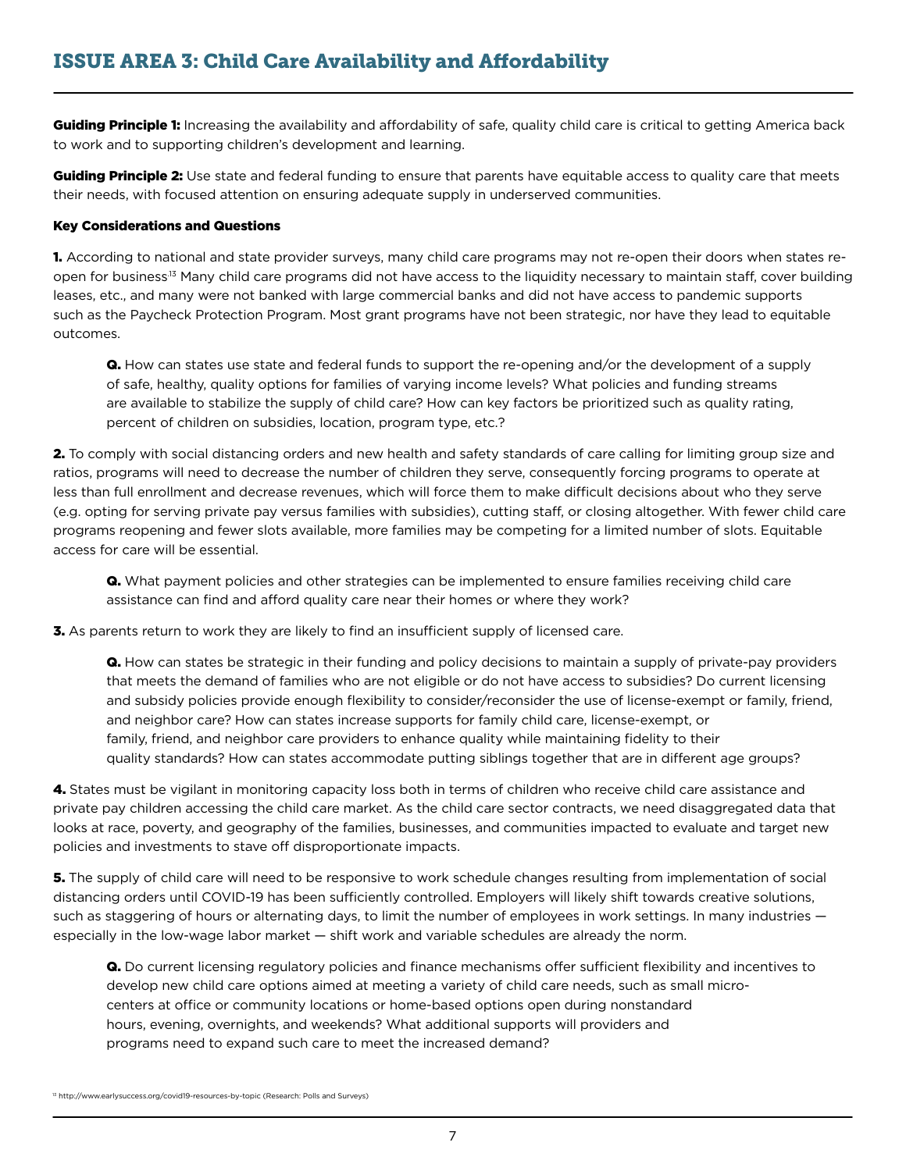Guiding Principle 1: Increasing the availability and affordability of safe, quality child care is critical to getting America back to work and to supporting children's development and learning.

Guiding Principle 2: Use state and federal funding to ensure that parents have equitable access to quality care that meets their needs, with focused attention on ensuring adequate supply in underserved communities.

#### Key Considerations and Questions

1. According to national and state provider surveys, many child care programs may not re-open their doors when states reopen for business.13 Many child care programs did not have access to the liquidity necessary to maintain staff, cover building leases, etc., and many were not banked with large commercial banks and did not have access to pandemic supports such as the Paycheck Protection Program. Most grant programs have not been strategic, nor have they lead to equitable outcomes.

Q. How can states use state and federal funds to support the re-opening and/or the development of a supply of safe, healthy, quality options for families of varying income levels? What policies and funding streams are available to stabilize the supply of child care? How can key factors be prioritized such as quality rating, percent of children on subsidies, location, program type, etc.?

2. To comply with social distancing orders and new health and safety standards of care calling for limiting group size and ratios, programs will need to decrease the number of children they serve, consequently forcing programs to operate at less than full enrollment and decrease revenues, which will force them to make difficult decisions about who they serve (e.g. opting for serving private pay versus families with subsidies), cutting staff, or closing altogether. With fewer child care programs reopening and fewer slots available, more families may be competing for a limited number of slots. Equitable access for care will be essential.

Q. What payment policies and other strategies can be implemented to ensure families receiving child care assistance can find and afford quality care near their homes or where they work?

**3.** As parents return to work they are likely to find an insufficient supply of licensed care.

Q. How can states be strategic in their funding and policy decisions to maintain a supply of private-pay providers that meets the demand of families who are not eligible or do not have access to subsidies? Do current licensing and subsidy policies provide enough flexibility to consider/reconsider the use of license-exempt or family, friend, and neighbor care? How can states increase supports for family child care, license-exempt, or family, friend, and neighbor care providers to enhance quality while maintaining fidelity to their quality standards? How can states accommodate putting siblings together that are in different age groups?

4. States must be vigilant in monitoring capacity loss both in terms of children who receive child care assistance and private pay children accessing the child care market. As the child care sector contracts, we need disaggregated data that looks at race, poverty, and geography of the families, businesses, and communities impacted to evaluate and target new policies and investments to stave off disproportionate impacts.

**5.** The supply of child care will need to be responsive to work schedule changes resulting from implementation of social distancing orders until COVID-19 has been sufficiently controlled. Employers will likely shift towards creative solutions, such as staggering of hours or alternating days, to limit the number of employees in work settings. In many industries especially in the low-wage labor market — shift work and variable schedules are already the norm.

2 https://www.cdc.gov/coronavirus/2019-ncov/community/schools-childcare/index.html Q. Do current licensing regulatory policies and finance mechanisms offer sufficient flexibility and incentives to develop new child care options aimed at meeting a variety of child care needs, such as small microcenters at office or community locations or home-based options open during nonstandard hours, evening, overnights, and weekends? What additional supports will providers and programs need to expand such care to meet the increased demand?

<sup>13</sup> http://www.earlysuccess.org/covid19-resources-by-topic (Research: Polls and Surveys)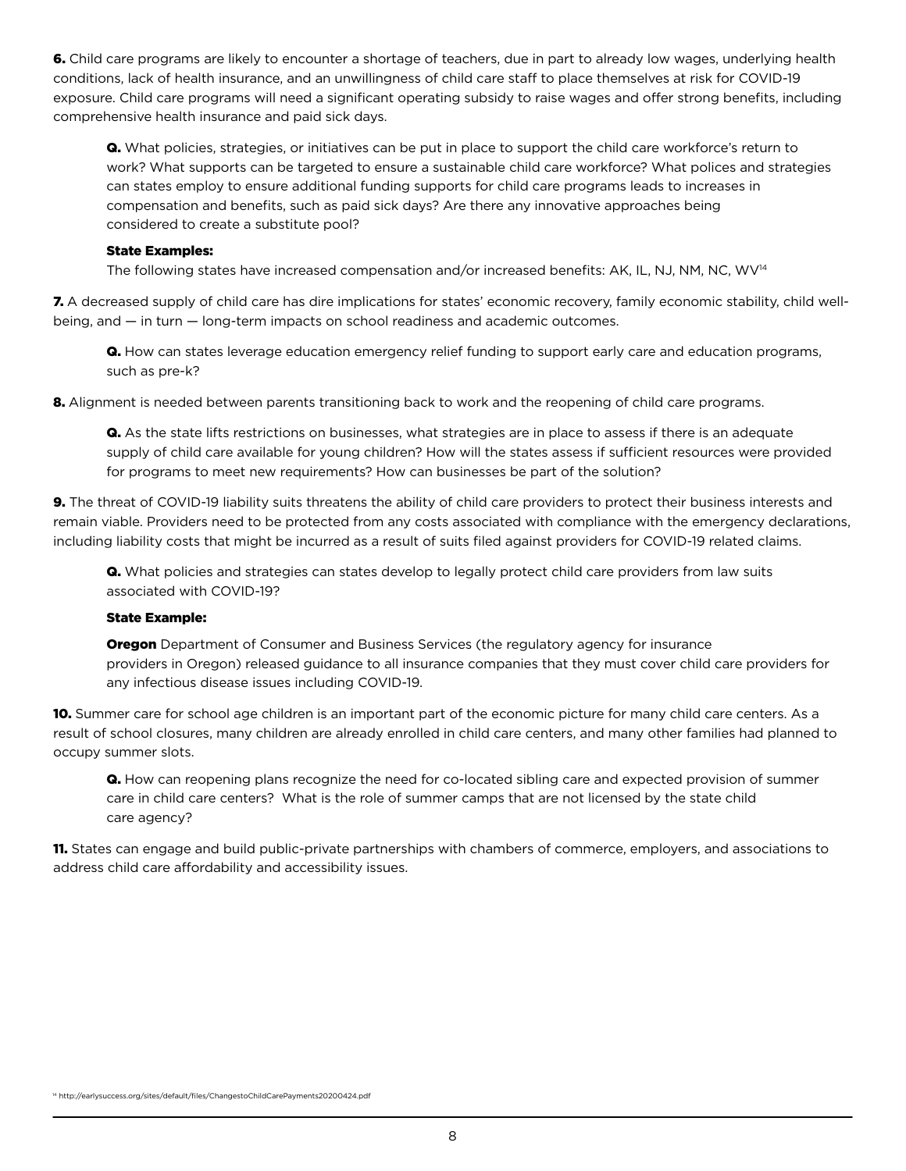6. Child care programs are likely to encounter a shortage of teachers, due in part to already low wages, underlying health conditions, lack of health insurance, and an unwillingness of child care staff to place themselves at risk for COVID-19 exposure. Child care programs will need a significant operating subsidy to raise wages and offer strong benefits, including comprehensive health insurance and paid sick days.

Q. What policies, strategies, or initiatives can be put in place to support the child care workforce's return to work? What supports can be targeted to ensure a sustainable child care workforce? What polices and strategies can states employ to ensure additional funding supports for child care programs leads to increases in compensation and benefits, such as paid sick days? Are there any innovative approaches being considered to create a substitute pool?

#### State Examples:

The following states have increased compensation and/or increased benefits: AK, IL, NJ, NM, NC, WV<sup>14</sup>

7. A decreased supply of child care has dire implications for states' economic recovery, family economic stability, child wellbeing, and — in turn — long-term impacts on school readiness and academic outcomes.

Q. How can states leverage education emergency relief funding to support early care and education programs, such as pre-k?

8. Alignment is needed between parents transitioning back to work and the reopening of child care programs.

Q. As the state lifts restrictions on businesses, what strategies are in place to assess if there is an adequate supply of child care available for young children? How will the states assess if sufficient resources were provided for programs to meet new requirements? How can businesses be part of the solution?

9. The threat of COVID-19 liability suits threatens the ability of child care providers to protect their business interests and remain viable. Providers need to be protected from any costs associated with compliance with the emergency declarations, including liability costs that might be incurred as a result of suits filed against providers for COVID-19 related claims.

**Q.** What policies and strategies can states develop to legally protect child care providers from law suits associated with COVID-19?

#### State Example:

**Oregon** Department of Consumer and Business Services (the regulatory agency for insurance providers in Oregon) released guidance to all insurance companies that they must cover child care providers for any infectious disease issues including COVID-19.

10. Summer care for school age children is an important part of the economic picture for many child care centers. As a result of school closures, many children are already enrolled in child care centers, and many other families had planned to occupy summer slots.

Q. How can reopening plans recognize the need for co-located sibling care and expected provision of summer care in child care centers? What is the role of summer camps that are not licensed by the state child care agency?

11. States can engage and build public-private partnerships with chambers of commerce, employers, and associations to address child care affordability and accessibility issues.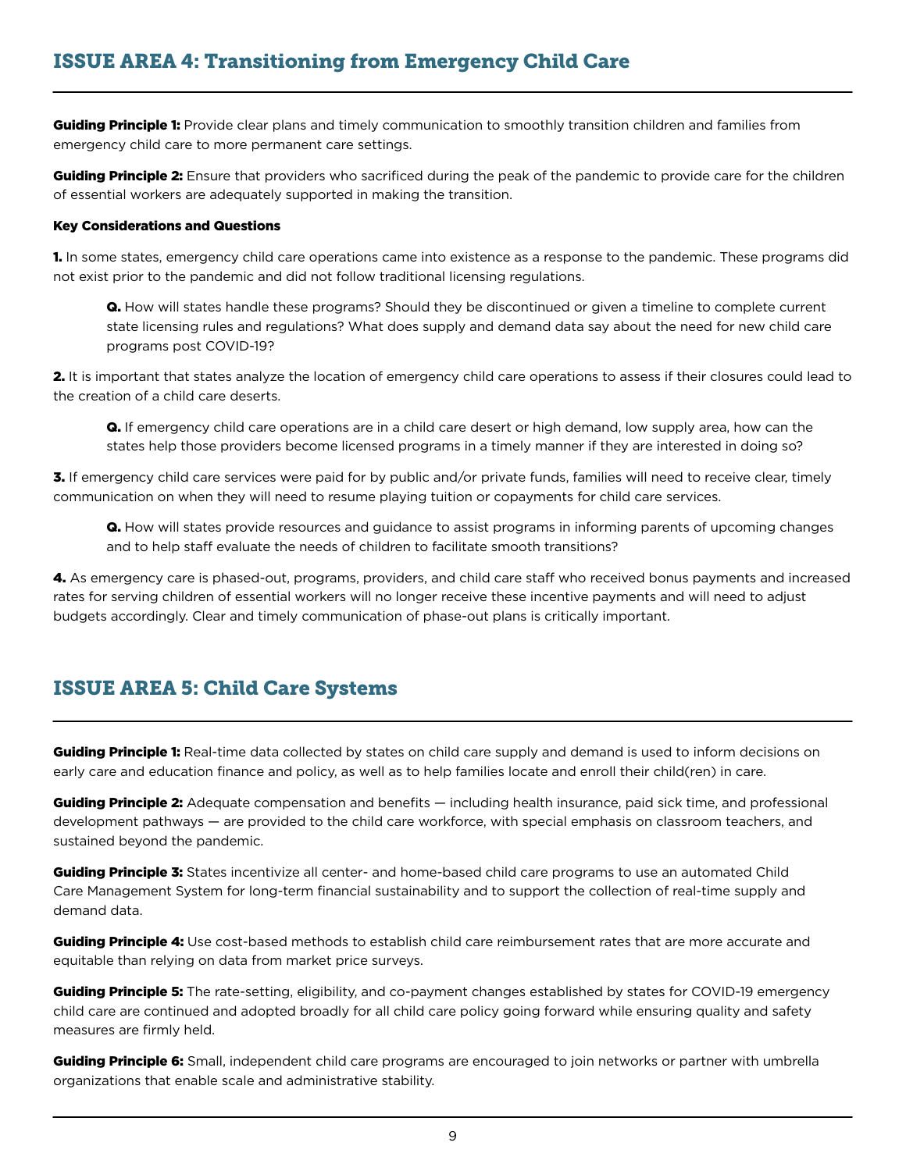Guiding Principle 1: Provide clear plans and timely communication to smoothly transition children and families from emergency child care to more permanent care settings.

Guiding Principle 2: Ensure that providers who sacrificed during the peak of the pandemic to provide care for the children of essential workers are adequately supported in making the transition.

#### Key Considerations and Questions

1. In some states, emergency child care operations came into existence as a response to the pandemic. These programs did not exist prior to the pandemic and did not follow traditional licensing regulations.

Q. How will states handle these programs? Should they be discontinued or given a timeline to complete current state licensing rules and regulations? What does supply and demand data say about the need for new child care programs post COVID-19?

2. It is important that states analyze the location of emergency child care operations to assess if their closures could lead to the creation of a child care deserts.

Q. If emergency child care operations are in a child care desert or high demand, low supply area, how can the states help those providers become licensed programs in a timely manner if they are interested in doing so?

3. If emergency child care services were paid for by public and/or private funds, families will need to receive clear, timely communication on when they will need to resume playing tuition or copayments for child care services.

Q. How will states provide resources and guidance to assist programs in informing parents of upcoming changes and to help staff evaluate the needs of children to facilitate smooth transitions?

4. As emergency care is phased-out, programs, providers, and child care staff who received bonus payments and increased rates for serving children of essential workers will no longer receive these incentive payments and will need to adjust budgets accordingly. Clear and timely communication of phase-out plans is critically important.

## ISSUE AREA 5: Child Care Systems

**Guiding Principle 1:** Real-time data collected by states on child care supply and demand is used to inform decisions on early care and education finance and policy, as well as to help families locate and enroll their child(ren) in care.

Guiding Principle 2: Adequate compensation and benefits — including health insurance, paid sick time, and professional development pathways — are provided to the child care workforce, with special emphasis on classroom teachers, and sustained beyond the pandemic.

Guiding Principle 3: States incentivize all center- and home-based child care programs to use an automated Child Care Management System for long-term financial sustainability and to support the collection of real-time supply and demand data.

Guiding Principle 4: Use cost-based methods to establish child care reimbursement rates that are more accurate and equitable than relying on data from market price surveys.

Guiding Principle 5: The rate-setting, eligibility, and co-payment changes established by states for COVID-19 emergency child care are continued and adopted broadly for all child care policy going forward while ensuring quality and safety measures are firmly held.

**Guiding Principle 6:** Small, independent child care programs are encouraged to join networks or partner with umbrella organizations that enable scale and administrative stability.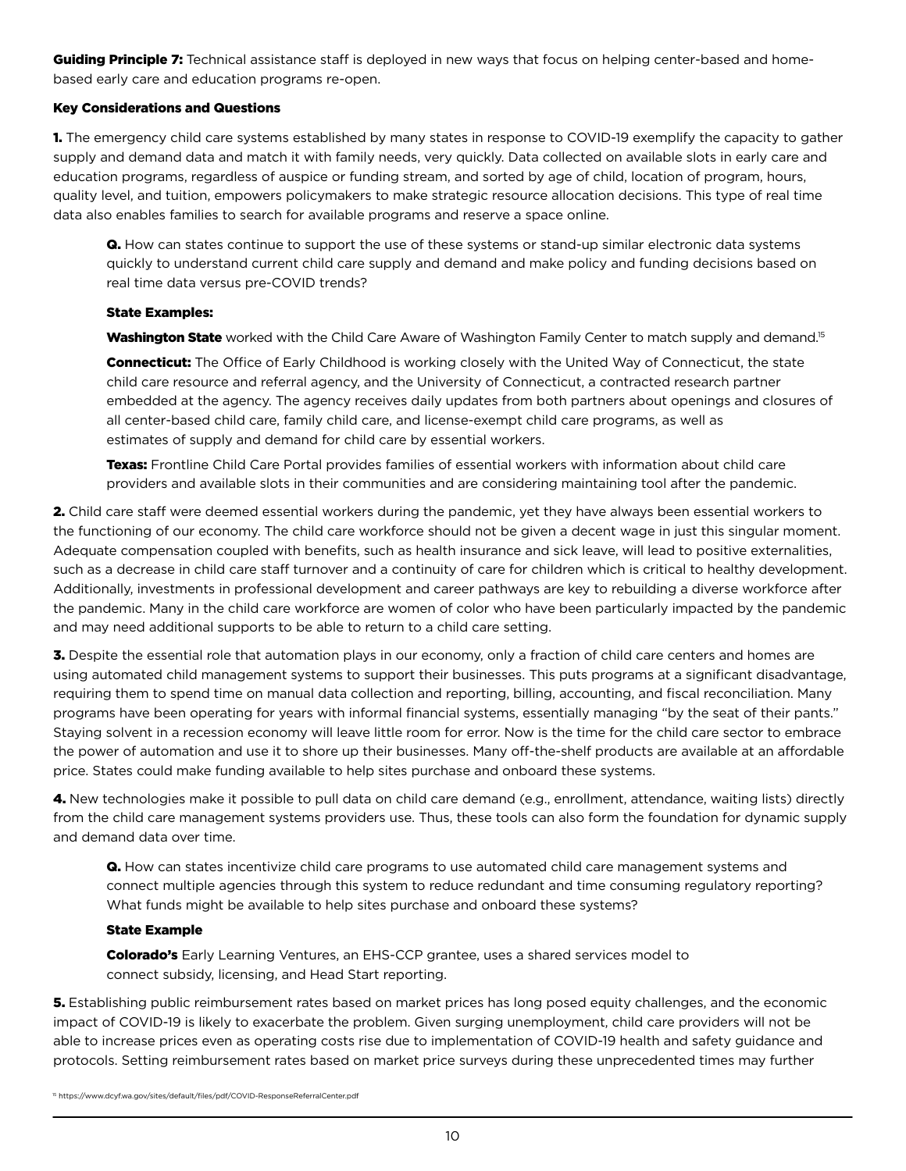Guiding Principle 7: Technical assistance staff is deployed in new ways that focus on helping center-based and homebased early care and education programs re-open.

#### Key Considerations and Questions

1. The emergency child care systems established by many states in response to COVID-19 exemplify the capacity to gather supply and demand data and match it with family needs, very quickly. Data collected on available slots in early care and education programs, regardless of auspice or funding stream, and sorted by age of child, location of program, hours, quality level, and tuition, empowers policymakers to make strategic resource allocation decisions. This type of real time data also enables families to search for available programs and reserve a space online.

**Q.** How can states continue to support the use of these systems or stand-up similar electronic data systems quickly to understand current child care supply and demand and make policy and funding decisions based on real time data versus pre-COVID trends?

#### State Examples:

**Washington State** worked with the Child Care Aware of Washington Family Center to match supply and demand.<sup>15</sup>

**Connecticut:** The Office of Early Childhood is working closely with the United Way of Connecticut, the state child care resource and referral agency, and the University of Connecticut, a contracted research partner embedded at the agency. The agency receives daily updates from both partners about openings and closures of all center-based child care, family child care, and license-exempt child care programs, as well as estimates of supply and demand for child care by essential workers.

Texas: Frontline Child Care Portal provides families of essential workers with information about child care providers and available slots in their communities and are considering maintaining tool after the pandemic.

2. Child care staff were deemed essential workers during the pandemic, yet they have always been essential workers to the functioning of our economy. The child care workforce should not be given a decent wage in just this singular moment. Adequate compensation coupled with benefits, such as health insurance and sick leave, will lead to positive externalities, such as a decrease in child care staff turnover and a continuity of care for children which is critical to healthy development. Additionally, investments in professional development and career pathways are key to rebuilding a diverse workforce after the pandemic. Many in the child care workforce are women of color who have been particularly impacted by the pandemic and may need additional supports to be able to return to a child care setting.

**3.** Despite the essential role that automation plays in our economy, only a fraction of child care centers and homes are using automated child management systems to support their businesses. This puts programs at a significant disadvantage, requiring them to spend time on manual data collection and reporting, billing, accounting, and fiscal reconciliation. Many programs have been operating for years with informal financial systems, essentially managing "by the seat of their pants." Staying solvent in a recession economy will leave little room for error. Now is the time for the child care sector to embrace the power of automation and use it to shore up their businesses. Many off-the-shelf products are available at an affordable price. States could make funding available to help sites purchase and onboard these systems.

4. New technologies make it possible to pull data on child care demand (e.g., enrollment, attendance, waiting lists) directly from the child care management systems providers use. Thus, these tools can also form the foundation for dynamic supply and demand data over time.

**Q.** How can states incentivize child care programs to use automated child care management systems and connect multiple agencies through this system to reduce redundant and time consuming regulatory reporting? What funds might be available to help sites purchase and onboard these systems?

#### State Example

**Colorado's** Early Learning Ventures, an EHS-CCP grantee, uses a shared services model to connect subsidy, licensing, and Head Start reporting.

protocols. Setting reimbursement rates based on market price surveys during these unprecedented times may further  $4 h^2$  https://www.coronavirus/2019-ncov/coronavirus/2019-ncov/community/schools-child-child-child-child-child-child-child-child-child-child-child-child-child-child-child-child-child-child-child-child-child-child-child-ch **5.** Establishing public reimbursement rates based on market prices has long posed equity challenges, and the economic impact of COVID-19 is likely to exacerbate the problem. Given surging unemployment, child care providers will not be able to increase prices even as operating costs rise due to implementation of COVID-19 health and safety guidance and

<sup>15</sup> https://www.dcyf.wa.gov/sites/default/files/pdf/COVID-ResponseReferralCenter.pdf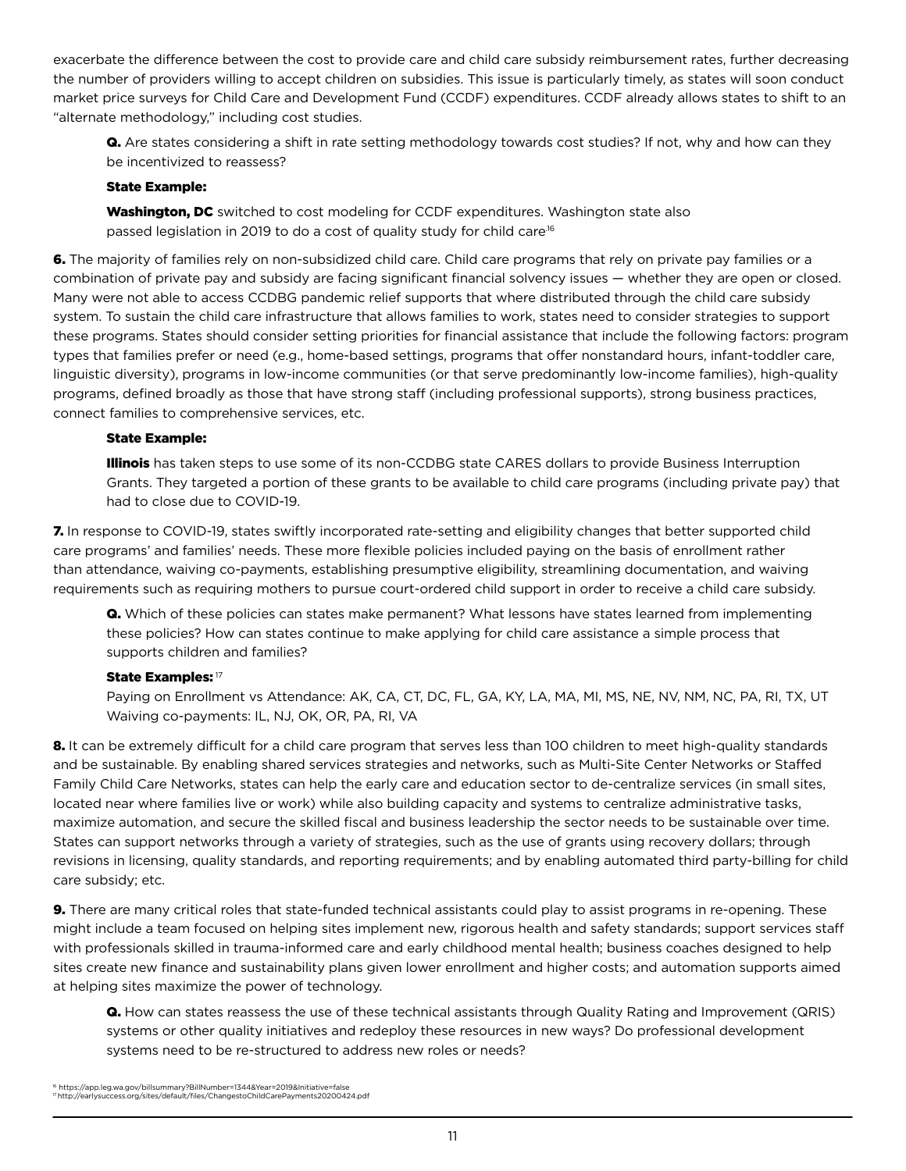exacerbate the difference between the cost to provide care and child care subsidy reimbursement rates, further decreasing the number of providers willing to accept children on subsidies. This issue is particularly timely, as states will soon conduct market price surveys for Child Care and Development Fund (CCDF) expenditures. CCDF already allows states to shift to an "alternate methodology," including cost studies.

Q. Are states considering a shift in rate setting methodology towards cost studies? If not, why and how can they be incentivized to reassess?

#### State Example:

Washington, DC switched to cost modeling for CCDF expenditures. Washington state also passed legislation in 2019 to do a cost of quality study for child care<sup>16</sup>

6. The majority of families rely on non-subsidized child care. Child care programs that rely on private pay families or a combination of private pay and subsidy are facing significant financial solvency issues — whether they are open or closed. Many were not able to access CCDBG pandemic relief supports that where distributed through the child care subsidy system. To sustain the child care infrastructure that allows families to work, states need to consider strategies to support these programs. States should consider setting priorities for financial assistance that include the following factors: program types that families prefer or need (e.g., home-based settings, programs that offer nonstandard hours, infant-toddler care, linguistic diversity), programs in low-income communities (or that serve predominantly low-income families), high-quality programs, defined broadly as those that have strong staff (including professional supports), strong business practices, connect families to comprehensive services, etc.

#### State Example:

Illinois has taken steps to use some of its non-CCDBG state CARES dollars to provide Business Interruption Grants. They targeted a portion of these grants to be available to child care programs (including private pay) that had to close due to COVID-19.

7. In response to COVID-19, states swiftly incorporated rate-setting and eligibility changes that better supported child care programs' and families' needs. These more flexible policies included paying on the basis of enrollment rather than attendance, waiving co-payments, establishing presumptive eligibility, streamlining documentation, and waiving requirements such as requiring mothers to pursue court-ordered child support in order to receive a child care subsidy.

Q. Which of these policies can states make permanent? What lessons have states learned from implementing these policies? How can states continue to make applying for child care assistance a simple process that supports children and families?

#### State Examples: 17

Paying on Enrollment vs Attendance: AK, CA, CT, DC, FL, GA, KY, LA, MA, MI, MS, NE, NV, NM, NC, PA, RI, TX, UT Waiving co-payments: IL, NJ, OK, OR, PA, RI, VA

8. It can be extremely difficult for a child care program that serves less than 100 children to meet high-quality standards and be sustainable. By enabling shared services strategies and networks, such as Multi-Site Center Networks or Staffed Family Child Care Networks, states can help the early care and education sector to de-centralize services (in small sites, located near where families live or work) while also building capacity and systems to centralize administrative tasks, maximize automation, and secure the skilled fiscal and business leadership the sector needs to be sustainable over time. States can support networks through a variety of strategies, such as the use of grants using recovery dollars; through revisions in licensing, quality standards, and reporting requirements; and by enabling automated third party-billing for child care subsidy; etc.

9. There are many critical roles that state-funded technical assistants could play to assist programs in re-opening. These might include a team focused on helping sites implement new, rigorous health and safety standards; support services staff with professionals skilled in trauma-informed care and early childhood mental health; business coaches designed to help sites create new finance and sustainability plans given lower enrollment and higher costs; and automation supports aimed at helping sites maximize the power of technology.

systems need to be re-structured to address new roles or needs? Q. How can states reassess the use of these technical assistants through Quality Rating and Improvement (QRIS) systems or other quality initiatives and redeploy these resources in new ways? Do professional development

<sup>&</sup>lt;sup>16</sup> https://app.leg.wa.gov/billsummary?BillNumber=1344&Year=2019&Initiative=false 17 http://earlysuccess.org/sites/default/files/ChangestoChildCarePayments20200424.pdf